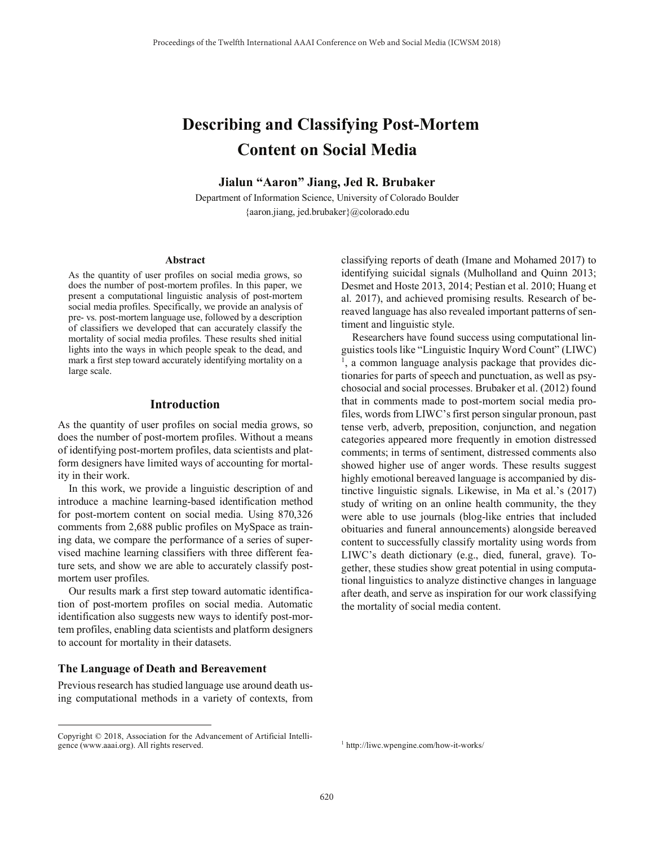# **Describing and Classifying Post-Mortem Content on Social Media**

**Jialun "Aaron" Jiang, Jed R. Brubaker**

Department of Information Science, University of Colorado Boulder {aaron.jiang, jed.brubaker}@colorado.edu

#### **Abstract**

As the quantity of user profiles on social media grows, so does the number of post-mortem profiles. In this paper, we present a computational linguistic analysis of post-mortem social media profiles. Specifically, we provide an analysis of pre- vs. post-mortem language use, followed by a description of classifiers we developed that can accurately classify the mortality of social media profiles. These results shed initial lights into the ways in which people speak to the dead, and mark a first step toward accurately identifying mortality on a large scale.

## **Introduction**

As the quantity of user profiles on social media grows, so does the number of post-mortem profiles. Without a means of identifying post-mortem profiles, data scientists and platform designers have limited ways of accounting for mortality in their work.

In this work, we provide a linguistic description of and introduce a machine learning-based identification method for post-mortem content on social media. Using 870,326 comments from 2,688 public profiles on MySpace as training data, we compare the performance of a series of supervised machine learning classifiers with three different feature sets, and show we are able to accurately classify postmortem user profiles.

 Our results mark a first step toward automatic identification of post-mortem profiles on social media. Automatic identification also suggests new ways to identify post-mortem profiles, enabling data scientists and platform designers to account for mortality in their datasets.

## **The Language of Death and Bereavement**

1

Previous research has studied language use around death using computational methods in a variety of contexts, from classifying reports of death (Imane and Mohamed 2017) to identifying suicidal signals (Mulholland and Quinn 2013; Desmet and Hoste 2013, 2014; Pestian et al. 2010; Huang et al. 2017), and achieved promising results. Research of bereaved language has also revealed important patterns of sentiment and linguistic style.

 Researchers have found success using computational linguistics tools like "Linguistic Inquiry Word Count" (LIWC) <sup>1</sup>, a common language analysis package that provides dictionaries for parts of speech and punctuation, as well as psychosocial and social processes. Brubaker et al. (2012) found that in comments made to post-mortem social media profiles, words from LIWC's first person singular pronoun, past tense verb, adverb, preposition, conjunction, and negation categories appeared more frequently in emotion distressed comments; in terms of sentiment, distressed comments also showed higher use of anger words. These results suggest highly emotional bereaved language is accompanied by distinctive linguistic signals. Likewise, in Ma et al.'s (2017) study of writing on an online health community, the they were able to use journals (blog-like entries that included obituaries and funeral announcements) alongside bereaved content to successfully classify mortality using words from LIWC's death dictionary (e.g., died, funeral, grave). Together, these studies show great potential in using computational linguistics to analyze distinctive changes in language after death, and serve as inspiration for our work classifying the mortality of social media content.

Copyright © 2018, Association for the Advancement of Artificial Intelligence (www.aaai.org). All rights reserved.

<sup>1</sup> http://liwc.wpengine.com/how-it-works/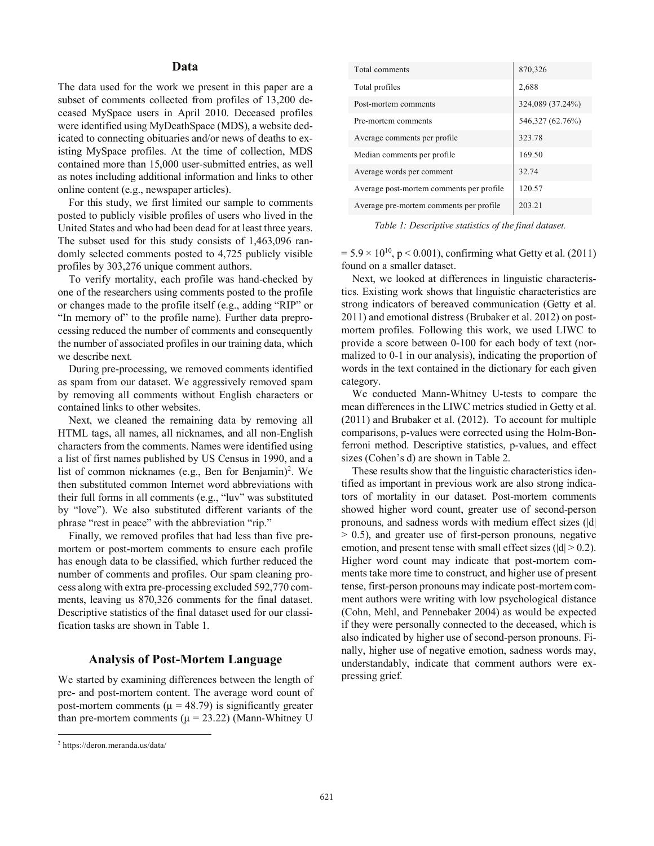## **Data**

The data used for the work we present in this paper are a subset of comments collected from profiles of 13,200 deceased MySpace users in April 2010. Deceased profiles were identified using MyDeathSpace (MDS), a website dedicated to connecting obituaries and/or news of deaths to existing MySpace profiles. At the time of collection, MDS contained more than 15,000 user-submitted entries, as well as notes including additional information and links to other online content (e.g., newspaper articles).

 For this study, we first limited our sample to comments posted to publicly visible profiles of users who lived in the United States and who had been dead for at least three years. The subset used for this study consists of 1,463,096 randomly selected comments posted to 4,725 publicly visible profiles by 303,276 unique comment authors.

 To verify mortality, each profile was hand-checked by one of the researchers using comments posted to the profile or changes made to the profile itself (e.g., adding "RIP" or "In memory of" to the profile name). Further data preprocessing reduced the number of comments and consequently the number of associated profiles in our training data, which we describe next.

 During pre-processing, we removed comments identified as spam from our dataset. We aggressively removed spam by removing all comments without English characters or contained links to other websites.

 Next, we cleaned the remaining data by removing all HTML tags, all names, all nicknames, and all non-English characters from the comments. Names were identified using a list of first names published by US Census in 1990, and a list of common nicknames (e.g., Ben for Benjamin)<sup>2</sup>. We then substituted common Internet word abbreviations with their full forms in all comments (e.g., "luv" was substituted by "love"). We also substituted different variants of the phrase "rest in peace" with the abbreviation "rip."

 Finally, we removed profiles that had less than five premortem or post-mortem comments to ensure each profile has enough data to be classified, which further reduced the number of comments and profiles. Our spam cleaning process along with extra pre-processing excluded 592,770 comments, leaving us 870,326 comments for the final dataset. Descriptive statistics of the final dataset used for our classification tasks are shown in Table 1.

### **Analysis of Post-Mortem Language**

We started by examining differences between the length of pre- and post-mortem content. The average word count of post-mortem comments ( $\mu$  = 48.79) is significantly greater than pre-mortem comments ( $\mu$  = 23.22) (Mann-Whitney U

1

| Total comments                           | 870,326          |
|------------------------------------------|------------------|
| Total profiles                           | 2,688            |
| Post-mortem comments                     | 324,089 (37.24%) |
| Pre-mortem comments                      | 546,327 (62.76%) |
| Average comments per profile             | 323.78           |
| Median comments per profile              | 169.50           |
| Average words per comment                | 32.74            |
| Average post-mortem comments per profile | 120.57           |
| Average pre-mortem comments per profile. | 203.21           |

*Table 1: Descriptive statistics of the final dataset.* 

 $= 5.9 \times 10^{10}$ , p < 0.001), confirming what Getty et al. (2011) found on a smaller dataset.

 Next, we looked at differences in linguistic characteristics. Existing work shows that linguistic characteristics are strong indicators of bereaved communication (Getty et al. 2011) and emotional distress (Brubaker et al. 2012) on postmortem profiles. Following this work, we used LIWC to provide a score between 0-100 for each body of text (normalized to 0-1 in our analysis), indicating the proportion of words in the text contained in the dictionary for each given category.

 We conducted Mann-Whitney U-tests to compare the mean differences in the LIWC metrics studied in Getty et al.  $(2011)$  and Brubaker et al.  $(2012)$ . To account for multiple comparisons, p-values were corrected using the Holm-Bonferroni method. Descriptive statistics, p-values, and effect sizes (Cohen's d) are shown in Table 2.

 These results show that the linguistic characteristics identified as important in previous work are also strong indicators of mortality in our dataset. Post-mortem comments showed higher word count, greater use of second-person pronouns, and sadness words with medium effect sizes (|d|  $> 0.5$ ), and greater use of first-person pronouns, negative emotion, and present tense with small effect sizes ( $|d| > 0.2$ ). Higher word count may indicate that post-mortem comments take more time to construct, and higher use of present tense, first-person pronouns may indicate post-mortem comment authors were writing with low psychological distance (Cohn, Mehl, and Pennebaker 2004) as would be expected if they were personally connected to the deceased, which is also indicated by higher use of second-person pronouns. Finally, higher use of negative emotion, sadness words may, understandably, indicate that comment authors were expressing grief.

<sup>2</sup> https://deron.meranda.us/data/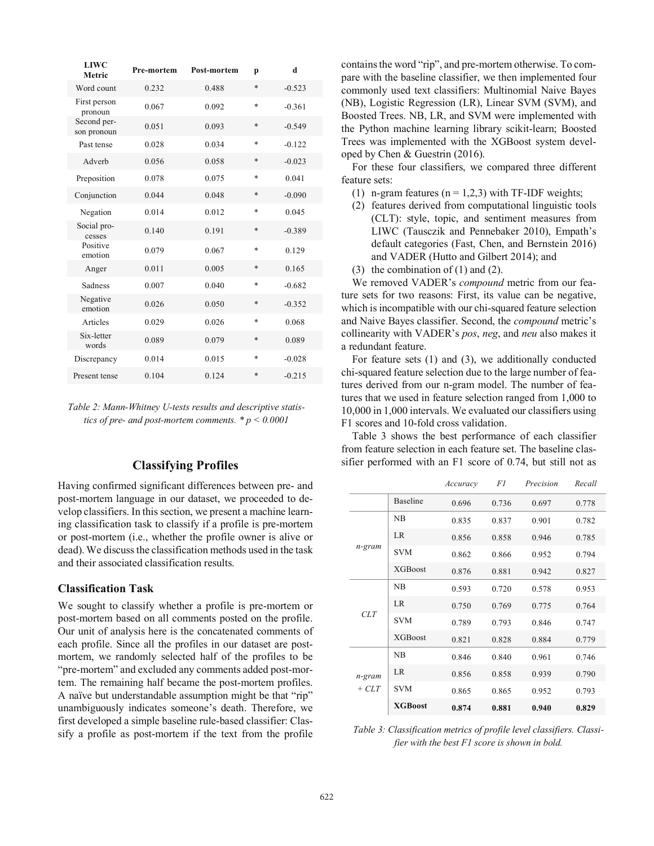| LIWC<br>Metric             | Pre-mortem | <b>Post-mortem</b> | p      | d        |
|----------------------------|------------|--------------------|--------|----------|
| Word count                 | 0.232      | 0.488              | $\ast$ | $-0.523$ |
| First person<br>pronoun    | 0.067      | 0.092              | $\ast$ | $-0.361$ |
| Second per-<br>son pronoun | 0.051      | 0.093              | $\ast$ | $-0.549$ |
| Past tense                 | 0.028      | 0.034              | $\ast$ | $-0.122$ |
| Adverb                     | 0.056      | 0.058              | *      | $-0.023$ |
| Preposition                | 0.078      | 0.075              | $\ast$ | 0.041    |
| Conjunction                | 0.044      | 0.048              | $\ast$ | $-0.090$ |
| Negation                   | 0.014      | 0.012              | $\ast$ | 0.045    |
| Social pro-<br>cesses      | 0.140      | 0.191              | *      | $-0.389$ |
| Positive<br>emotion        | 0.079      | 0.067              | $\ast$ | 0.129    |
| Anger                      | 0.011      | 0.005              | *      | 0.165    |
| Sadness                    | 0.007      | 0.040              | $\ast$ | $-0.682$ |
| Negative<br>emotion        | 0.026      | 0.050              | *      | $-0.352$ |
| Articles                   | 0.029      | 0.026              | $\ast$ | 0.068    |
| Six-letter<br>words        | 0.089      | 0.079              | *      | 0.089    |
| Discrepancy                | 0.014      | 0.015              | *      | $-0.028$ |
| Present tense              | 0.104      | 0.124              | $\ast$ | $-0.215$ |

*Table 2: Mann-Whitney U-tests results and descriptive statistics of pre- and post-mortem comments. \* p < 0.0001* 

## **Classifying Profiles**

Having confirmed significant differences between pre- and post-mortem language in our dataset, we proceeded to develop classifiers. In this section, we present a machine learning classification task to classify if a profile is pre-mortem or post-mortem (i.e., whether the profile owner is alive or dead). We discuss the classification methods used in the task and their associated classification results.

#### **Classification Task**

We sought to classify whether a profile is pre-mortem or post-mortem based on all comments posted on the profile. Our unit of analysis here is the concatenated comments of each profile. Since all the profiles in our dataset are postmortem, we randomly selected half of the profiles to be "pre-mortem" and excluded any comments added post-mortem. The remaining half became the post-mortem profiles. A naïve but understandable assumption might be that "rip" unambiguously indicates someone's death. Therefore, we first developed a simple baseline rule-based classifier: Classify a profile as post-mortem if the text from the profile

contains the word "rip", and pre-mortem otherwise. To compare with the baseline classifier, we then implemented four commonly used text classifiers: Multinomial Naive Bayes (NB), Logistic Regression (LR), Linear SVM (SVM), and Boosted Trees. NB, LR, and SVM were implemented with the Python machine learning library scikit-learn; Boosted Trees was implemented with the XGBoost system developed by Chen & Guestrin (2016).

 For these four classifiers, we compared three different feature sets:

- (1) n-gram features ( $n = 1,2,3$ ) with TF-IDF weights;
- (2) features derived from computational linguistic tools (CLT): style, topic, and sentiment measures from LIWC (Tausczik and Pennebaker 2010), Empath's default categories (Fast, Chen, and Bernstein 2016) and VADER (Hutto and Gilbert 2014); and
- (3) the combination of  $(1)$  and  $(2)$ .

 We removed VADER's *compound* metric from our feature sets for two reasons: First, its value can be negative, which is incompatible with our chi-squared feature selection and Naive Bayes classifier. Second, the *compound* metric's collinearity with VADER's *pos*, *neg*, and *neu* also makes it a redundant feature.

 For feature sets (1) and (3), we additionally conducted chi-squared feature selection due to the large number of features derived from our n-gram model. The number of features that we used in feature selection ranged from 1,000 to 10,000 in 1,000 intervals. We evaluated our classifiers using F1 scores and 10-fold cross validation.

 Table 3 shows the best performance of each classifier from feature selection in each feature set. The baseline classifier performed with an F1 score of 0.74, but still not as

|                   |                 | Accuracy | F1    | Precision | Recall |
|-------------------|-----------------|----------|-------|-----------|--------|
|                   | <b>Baseline</b> | 0.696    | 0.736 | 0.697     | 0.778  |
| n-gram            | NB              | 0.835    | 0.837 | 0.901     | 0.782  |
|                   | LR              | 0.856    | 0.858 | 0.946     | 0.785  |
|                   | <b>SVM</b>      | 0.862    | 0.866 | 0.952     | 0.794  |
|                   | <b>XGBoost</b>  | 0.876    | 0.881 | 0.942     | 0.827  |
| CLT               | NB              | 0.593    | 0.720 | 0.578     | 0.953  |
|                   | <b>LR</b>       | 0.750    | 0.769 | 0.775     | 0.764  |
|                   | <b>SVM</b>      | 0.789    | 0.793 | 0.846     | 0.747  |
|                   | <b>XGBoost</b>  | 0.821    | 0.828 | 0.884     | 0.779  |
| n-gram<br>$+ CLT$ | NB              | 0.846    | 0.840 | 0.961     | 0.746  |
|                   | LR.             | 0.856    | 0.858 | 0.939     | 0.790  |
|                   | <b>SVM</b>      | 0.865    | 0.865 | 0.952     | 0.793  |
|                   | <b>XGBoost</b>  | 0.874    | 0.881 | 0.940     | 0.829  |

*Table 3: Classification metrics of profile level classifiers. Classifier with the best F1 score is shown in bold.*